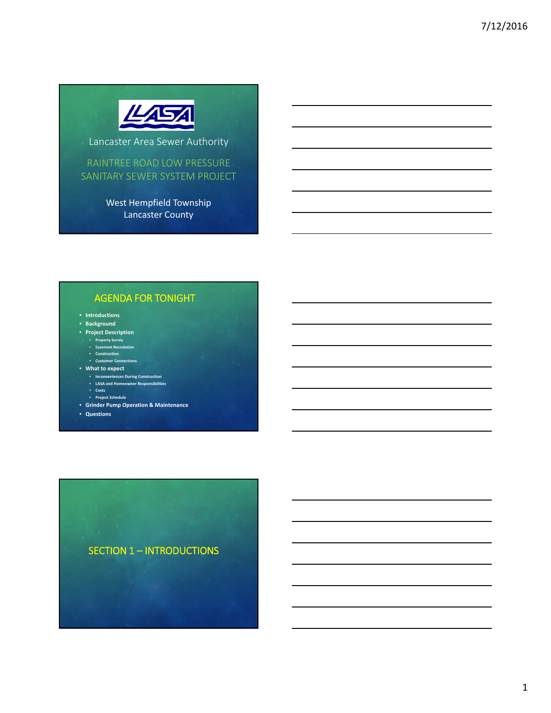

Lancaster Area Sewer Authority

RAINTREE ROAD LOW PRESSURE SANITARY SEWER SYSTEM PROJECT

> West Hempfield Township Lancaster County

### AGENDA FOR TONIGHT

- **Introductions**
- **Background**
- **Project Description**
	- **Property Survey Easement Recordation**
	- **Construction**
	- **Customer Connections**
- **What to expect**
	- **Inconveniences During Construction LASA and Homeowner Responsibilities**
	-
	- **Costs** • **Project Schedule**
- **Grinder Pump Operation & Maintenance**
- **Questions**

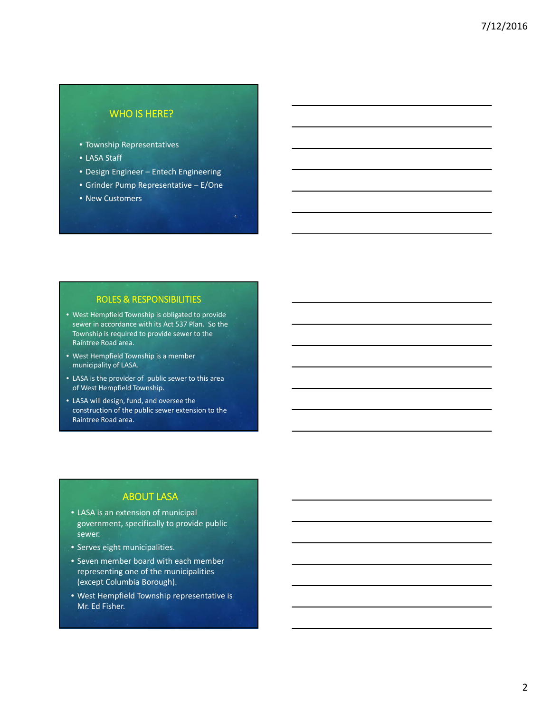# WHO IS HERE?

- Township Representatives
- LASA Staff
- Design Engineer Entech Engineering
- Grinder Pump Representative E/One

4

• New Customers

### ROLES & RESPONSIBILITIES

- West Hempfield Township is obligated to provide sewer in accordance with its Act 537 Plan. So the Township is required to provide sewer to the Raintree Road area.
- West Hempfield Township is a member municipality of LASA.
- LASA is the provider of public sewer to this area of West Hempfield Township.
- LASA will design, fund, and oversee the construction of the public sewer extension to the Raintree Road area.

### ABOUT LASA

- LASA is an extension of municipal government, specifically to provide public sewer.
- Serves eight municipalities.
- Seven member board with each member representing one of the municipalities (except Columbia Borough).
- West Hempfield Township representative is Mr. Ed Fisher.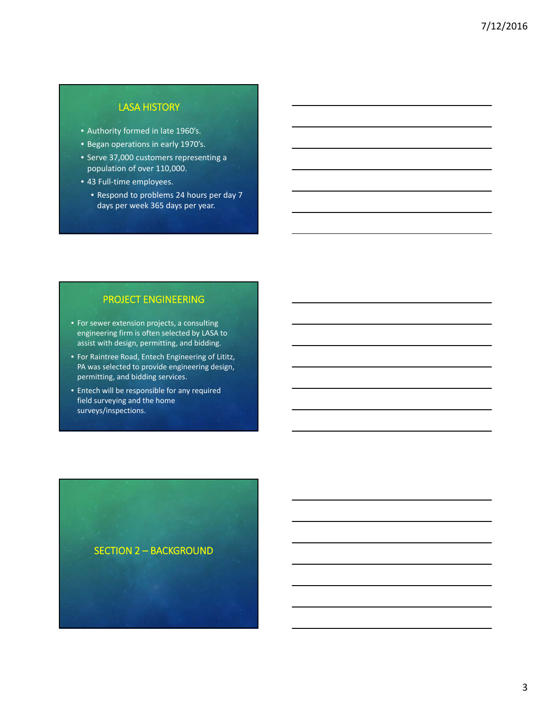## LASA HISTORY

- Authority formed in late 1960's.
- Began operations in early 1970's.
- Serve 37,000 customers representing a population of over 110,000.
- 43 Full-time employees.
	- Respond to problems 24 hours per day 7 days per week 365 days per year.

### PROJECT ENGINEERING

- For sewer extension projects, a consulting engineering firm is often selected by LASA to assist with design, permitting, and bidding.
- For Raintree Road, Entech Engineering of Lititz, PA was selected to provide engineering design, permitting, and bidding services.
- Entech will be responsible for any required field surveying and the home surveys/inspections.

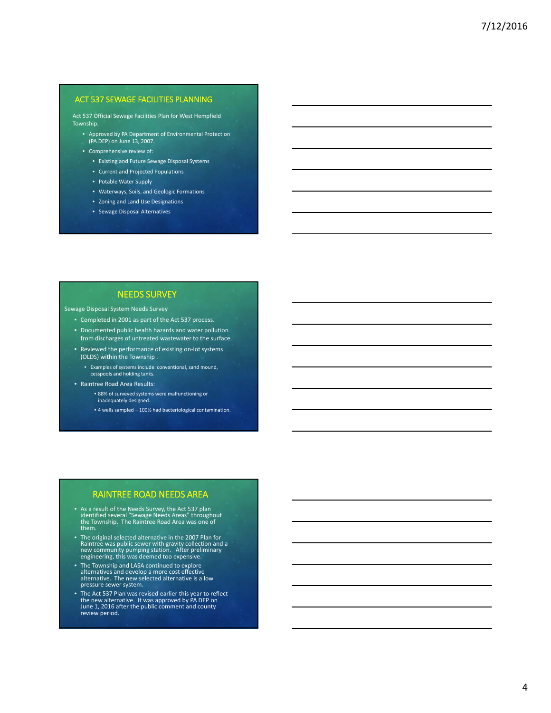### ACT 537 SEWAGE FACILITIES PLANNING

Act 537 Official Sewage Facilities Plan for West Hempfield Township.

- Approved by PA Department of Environmental Protection (PA DEP) on June 13, 2007.
- Comprehensive review of:
	- Existing and Future Sewage Disposal Systems
	- Current and Projected Populations
	- Potable Water Supply
	- Waterways, Soils, and Geologic Formations
	- Zoning and Land Use Designations
	- Sewage Disposal Alternatives

### NEEDS SURVEY

#### Sewage Disposal System Needs Survey

- Completed in 2001 as part of the Act 537 process.
- Documented public health hazards and water pollution from discharges of untreated wastewater to the surface.
- Reviewed the performance of existing on‐lot systems (OLDS) within the Township .
	- Examples of systems include: conventional, sand mound, cesspools and holding tanks.
- Raintree Road Area Results:
	- 88% of surveyed systems were malfunctioning or inadequately designed.
	- 4 wells sampled 100% had bacteriological contamination.

#### RAINTREE ROAD NEEDS AREA

- As a result of the Needs Survey, the Act 537 plan identified several "Sewage Needs Areas" throughout the Township. The Raintree Road Area was one of them.
- The original selected alternative in the 2007 Plan for Raintree was public sewer with gravity collection and <sup>a</sup> new community pumping station. After preliminary engineering, this was deemed too expensive.
- The Township and LASA continued to explore alternatives and develop a more cost effective alternative. The new selected alternative is a low pressure sewer system.
- The Act 537 Plan was revised earlier this year to reflect the new alternative. It was approved by PA DEP on June 1, <sup>2016</sup> after the public comment and county review period.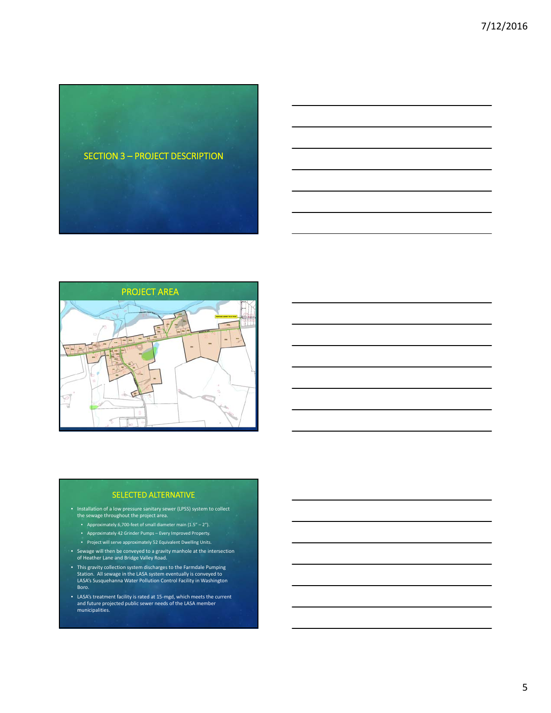



### SELECTED ALTERNATIVE

- Installation of a low pressure sanitary sewer (LPSS) system to collect the sewage throughout the project area.
	- Approximately 6,700-feet of small diameter main  $(1.5'' 2'')$ .
	- Approximately 42 Grinder Pumps Every Improved Property.
	- Project will serve approximately 52 Equivalent Dwelling Units.
- Sewage will then be conveyed to a gravity manhole at the intersection of Heather Lane and Bridge Valley Road.
- This gravity collection system discharges to the Farmdale Pumping Station. All sewage in the LASA system eventually is conveyed to LASA's Susquehanna Water Pollution Control Facility in Washington Boro.
- LASA's treatment facility is rated at 15‐mgd, which meets the current and future projected public sewer needs of the LASA member municipalities.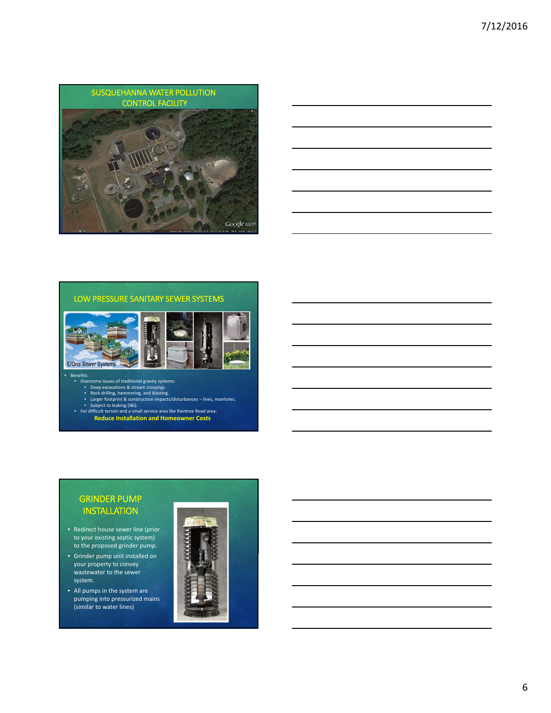

| <u> 1989 - Johann Harry Harry Harry Harry Harry Harry Harry Harry Harry Harry Harry Harry Harry Harry Harry Harry</u>                                                                                                         |  |    |
|-------------------------------------------------------------------------------------------------------------------------------------------------------------------------------------------------------------------------------|--|----|
|                                                                                                                                                                                                                               |  |    |
| the contract of the contract of the contract of the contract of the contract of                                                                                                                                               |  |    |
|                                                                                                                                                                                                                               |  | __ |
| the control of the control of the control of the control of the control of the control of the control of the control of the control of the control of the control of the control of the control of the control of the control |  |    |
| <u> 1989 - Johann Stoff, Amerikaansk politiker (</u>                                                                                                                                                                          |  |    |

### LOW PRESSURE SANITARY SEWER SYSTEMS





- 
- Benefits: Overcome issues of traditional gravity systems: Deep excavations & stream crossings. Rock drilling, hammering, and blasting. Larger footprint & construction impacts/disturbances lines, manholes.
	- Subject to leaking (I&I). For difficult terrain and a small service area like Raintree Road area:
		- **Reduce Installation and Homeowner Costs**

### GRINDER PUMP **INSTALLATION**

- Redirect house sewer line (prior to your existing septic system) to the proposed grinder pump.
- Grinder pump unit installed on your property to convey wastewater to the sewer system.
- All pumps in the system are pumping into pressurized mains (similar to water lines)

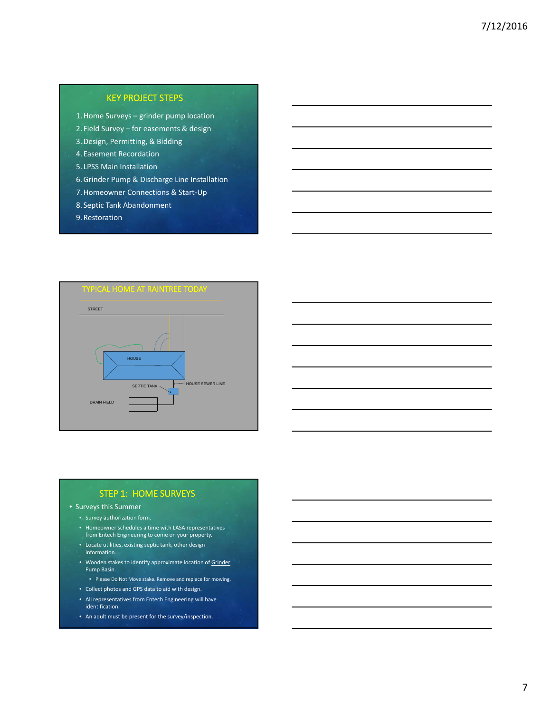### KEY PROJECT STEPS

1. Home Surveys – grinder pump location

- 2. Field Survey for easements & design
- 3. Design, Permitting, & Bidding
- 4. Easement Recordation
- 5. LPSS Main Installation
- 6. Grinder Pump & Discharge Line Installation
- 7. Homeowner Connections & Start‐Up
- 8. Septic Tank Abandonment
- 9. Restoration



### STEP 1: HOME SURVEYS

#### • Surveys this Summer

- Survey authorization form.
- Homeowner schedules a time with LASA representatives
- from Entech Engineering to come on your property.
- Locate utilities, existing septic tank, other design information.
- Wooden stakes to identify approximate location of Grinder Pump Basin.
- Please Do Not Move stake. Remove and replace for mowing.
- Collect photos and GPS data to aid with design.
- All representatives from Entech Engineering will have identification.
- An adult must be present for the survey/inspection.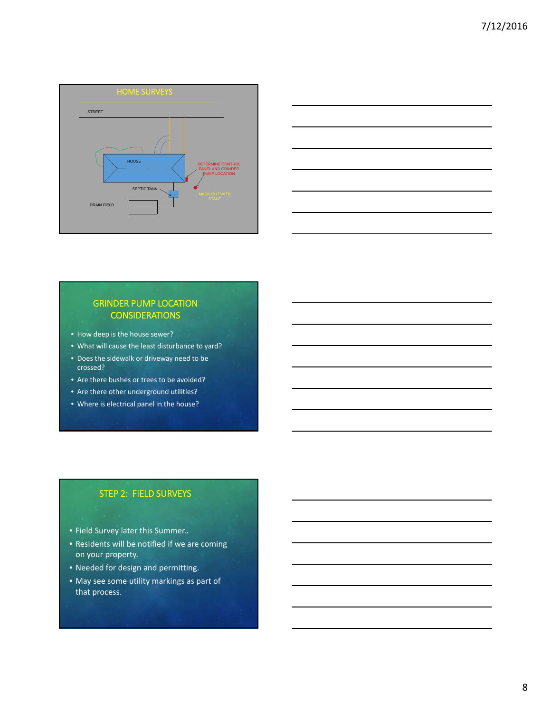



### GRINDER PUMP LOCATION **CONSIDERATIONS**

- How deep is the house sewer?
- What will cause the least disturbance to yard?
- Does the sidewalk or driveway need to be crossed?
- Are there bushes or trees to be avoided?
- Are there other underground utilities?
- Where is electrical panel in the house?

### STEP 2: FIELD SURVEYS

- Field Survey later this Summer..
- Residents will be notified if we are coming on your property.
- Needed for design and permitting.
- May see some utility markings as part of that process.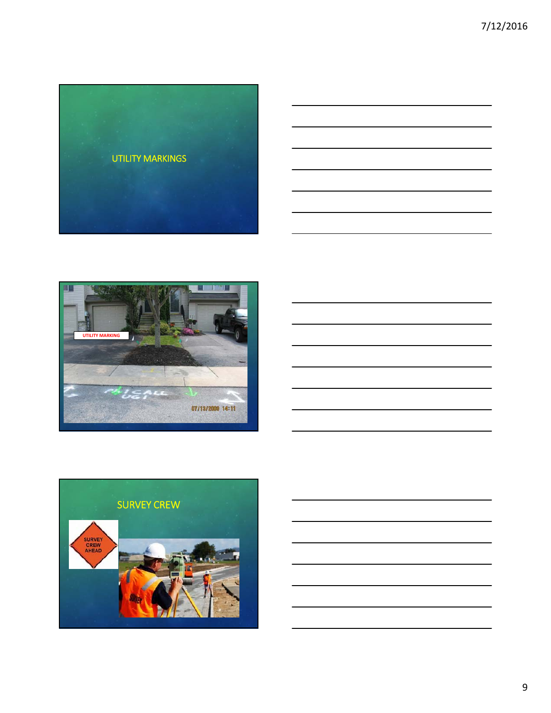



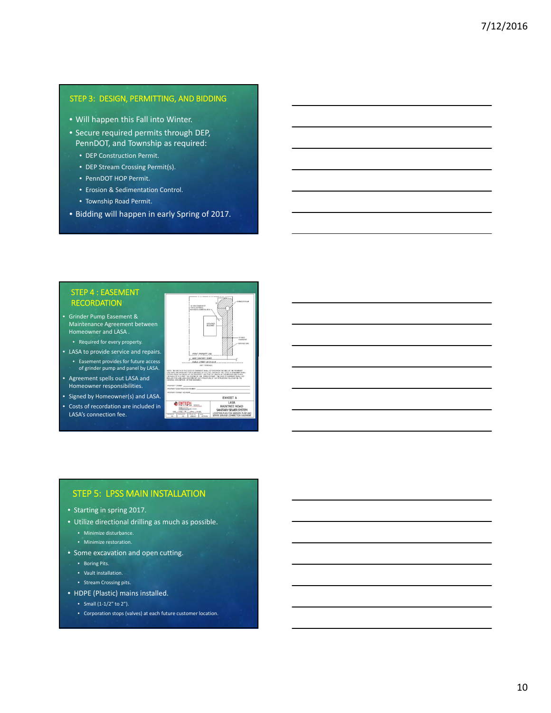### STEP 3: DESIGN, PERMITTING, AND BIDDING

- Will happen this Fall into Winter.
- Secure required permits through DEP, PennDOT, and Township as required:
	- DEP Construction Permit.
	- DEP Stream Crossing Permit(s).
	- PennDOT HOP Permit.
	- Erosion & Sedimentation Control.
	- Township Road Permit.
- Bidding will happen in early Spring of 2017.

### STEP 4 : EASEMENT **RECORDATION**

- Grinder Pump Easement & Maintenance Agreement between Homeowner and LASA .
- Required for every property.
- LASA to provide service and repairs.
	- Easement provides for future access of grinder pump and panel by LASA.
- Agreement spells out LASA and Homeowner responsibilities.
- Signed by Homeowner(s) and LASA.
- Costs of recordation are included in LASA's connection fee.

| <b>19 VATIT EASEMENT</b><br>FOR ELECTRICAL<br><b>BERLAIDE &amp; CONTROL</b> | <b>GRACER FUVE</b>                                                                                                                                                                                                                                                                                                                                                                                                    |
|-----------------------------------------------------------------------------|-----------------------------------------------------------------------------------------------------------------------------------------------------------------------------------------------------------------------------------------------------------------------------------------------------------------------------------------------------------------------------------------------------------------------|
| FRONT PROPERTY LAB<br>MAN SANTARY SEMER                                     | OCCUPALI3<br><b>BUILDINE</b><br>AV WENT<br>EASEMENT<br><b>BERVACE LINE</b>                                                                                                                                                                                                                                                                                                                                            |
| <b>CULC STREET OF R-O-R</b>                                                 |                                                                                                                                                                                                                                                                                                                                                                                                                       |
| (M3T TO BOALE)                                                              |                                                                                                                                                                                                                                                                                                                                                                                                                       |
| ALCOHOL: EPITON OF THE EASTMENT.                                            | THE WICTH OF THE DEED OF EAMENENT BHALL EXTEND FROM THE BEIE OF THE PROPERTY<br>TO THE PROPERTY FOR A CBTANCE OF 15 9, THE LENGTH OF THE ESSEE OF EASTMENT BANL.<br>FROM THE FRONT OF THE PROPERTY LINE FOR THE LENGTH OF THE BERVIOT LINE PLUB A<br>OL OF 15 9, PAST THE CENTER OF THE GRINDER PUMP. THE DEED OF EASEMENT BHALL NOT<br>E THE LAND ANEA OCCUPIED BY ANY STRUCTURE. IF THAT STRUCTURE FALLS WITHIN THE |
| <b>RTY OVAIR</b><br><b>KTY EEMITPSCATERINAALGERIN</b>                       |                                                                                                                                                                                                                                                                                                                                                                                                                       |
| <b>RTY STREET ACCRESS</b>                                                   |                                                                                                                                                                                                                                                                                                                                                                                                                       |
|                                                                             | <b>EXHIBIT A</b>                                                                                                                                                                                                                                                                                                                                                                                                      |
| <b>ENTECH</b>                                                               | LASA<br><b>DATA INDUSTRY DUDLE IN</b>                                                                                                                                                                                                                                                                                                                                                                                 |

SANITARY SEWER SYSTEM

### STEP 5: LPSS MAIN INSTALLATION

- Starting in spring 2017.
- Utilize directional drilling as much as possible.
	- Minimize disturbance.
	- Minimize restoration.
- Some excavation and open cutting.
	- Boring Pits.
	- Vault installation.
	- Stream Crossing pits.
- HDPE (Plastic) mains installed.
- Small (1-1/2" to 2").
	- Corporation stops (valves) at each future customer location.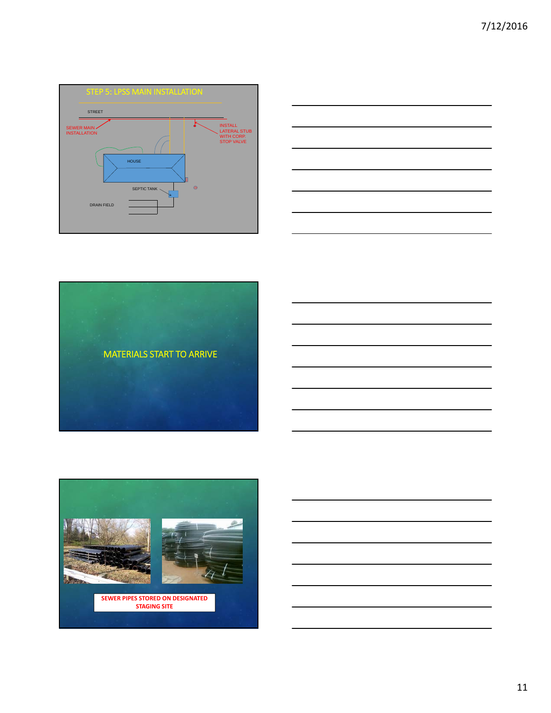





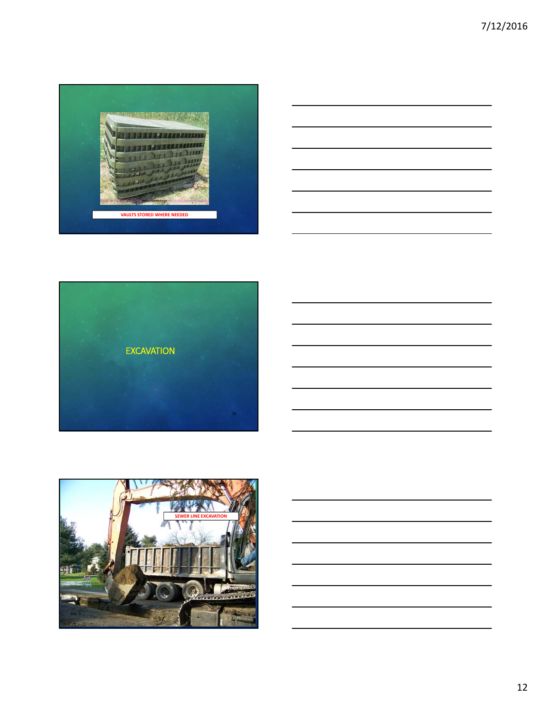





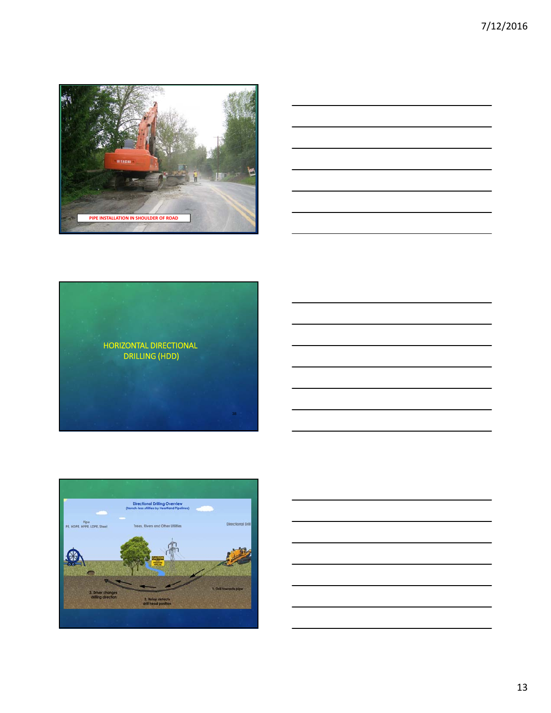





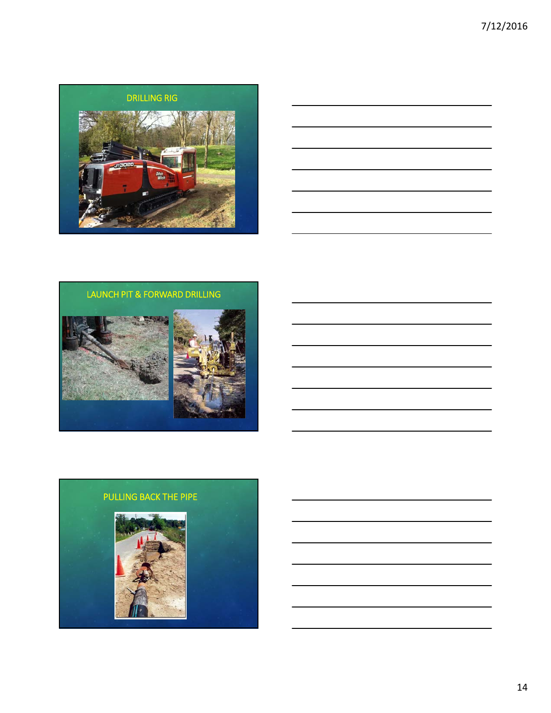## DRILLING RIG



| <u> 1989 - Johann Stoff, deutscher Stoff, der Stoff, der Stoff, der Stoff, der Stoff, der Stoff, der Stoff, der S</u> |  |  |
|-----------------------------------------------------------------------------------------------------------------------|--|--|
| <u> 1989 - Johann Stoff, amerikansk politiker (d. 1989)</u>                                                           |  |  |
| <u> 1989 - Johann Barn, amerikan bernama di sebagai bernama dan bernama di sebagai bernama dalam bernama dalam b</u>  |  |  |
| <u> 1989 - Andrea Santa Andrea Andrea Andrea Andrea Andrea Andrea Andrea Andrea Andrea Andrea Andrea Andrea Andr</u>  |  |  |
| <u> 1989 - Johann Stein, marwolaethau a bhann an t-Amhain an t-Amhain an t-Amhain an t-Amhain an t-Amhain an t-A</u>  |  |  |
| the contract of the contract of the contract of the contract of the contract of                                       |  |  |
|                                                                                                                       |  |  |

# LAUNCH PIT & FORWARD DRILLING





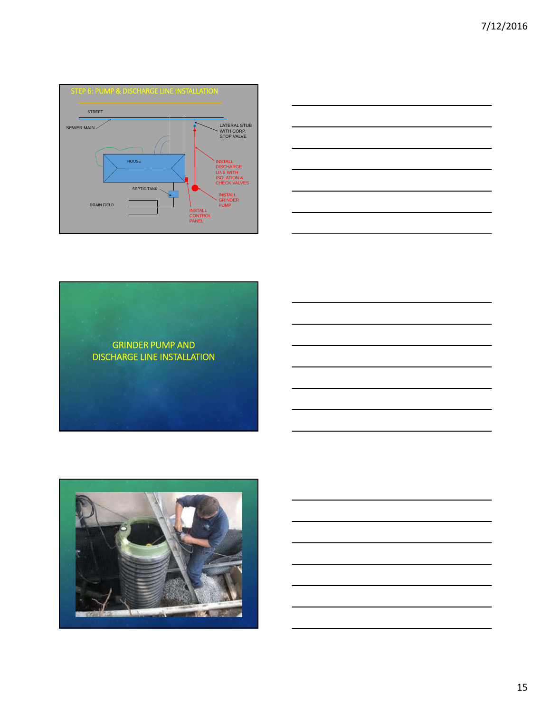





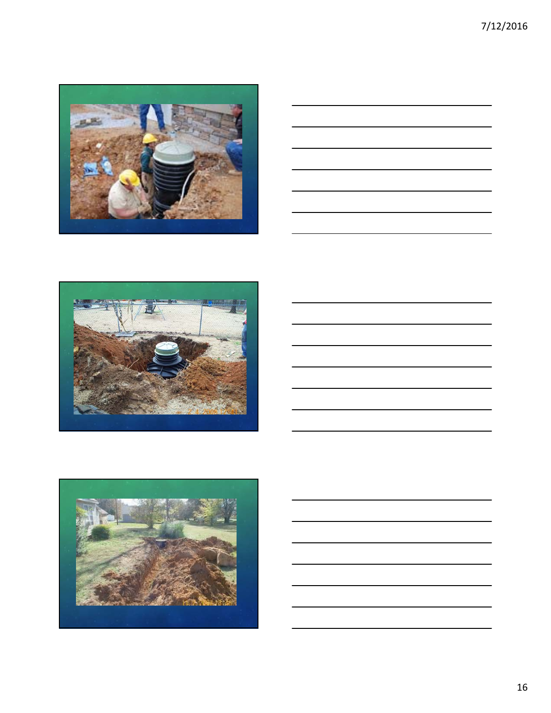







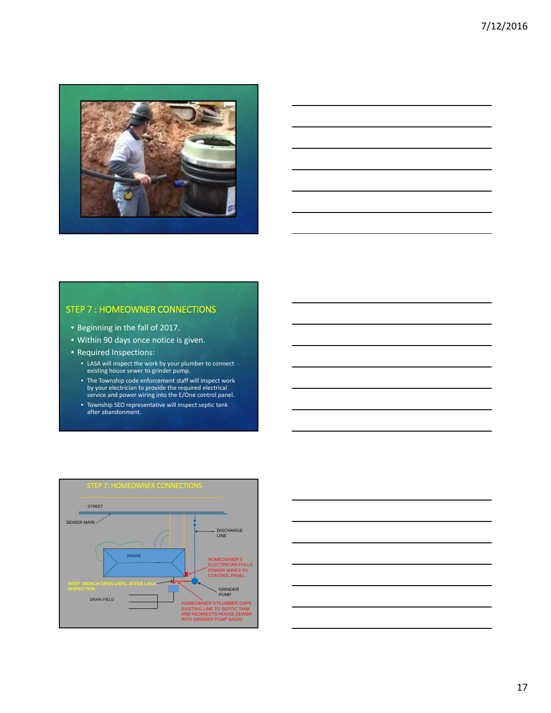

# STEP 7 : HOMEOWNER CONNECTIONS

- Beginning in the fall of 2017.
- Within 90 days once notice is given.
- Required Inspections:
	- LASA will inspect the work by your plumber to connect existing house sewer to grinder pump.
	- The Township code enforcement staff will inspect work by your electrician to provide the required electrical service and power wiring into the E/One control panel.
	- Township SEO representative will inspect septic tank after abandonment.



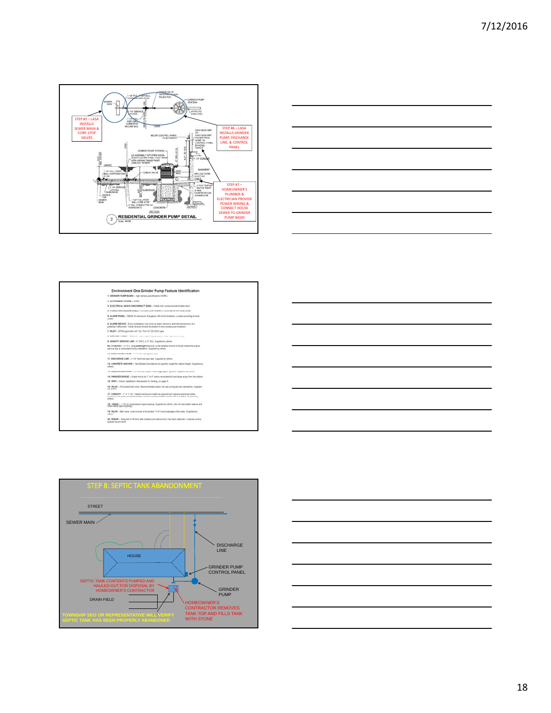

DECEMBER

ONTROL PANEL

**PENTAGON**<br>LI GAST BION<br>PART

AGORIANT MEDIA (2) RESIDENTIAL GRINDER PUMP DETAIL

y)

GRINDER

 $rac{1}{\sqrt{1+\frac{1}{1+\frac{1}{1+\frac{1}{1+\frac{1}{1+\frac{1}{1+\frac{1}{1+\frac{1}{1+\frac{1}{1+\frac{1}{1+\frac{1}{1+\frac{1}{1+\frac{1}{1+\frac{1}{1+\frac{1}{1+\frac{1}{1+\frac{1}{1+\frac{1}{1+\frac{1}{1+\frac{1}{1+\frac{1}{1+\frac{1}{1+\frac{1}{1+\frac{1}{1+\frac{1}{1+\frac{1}{1+\frac{1}{1+\frac{1}{1+\frac{1}{1+\frac{1}{1+\frac{1}{1+\frac{1}{1+\frac{1}{1+\frac{1}{1+\frac{1}{1+\frac{1}{1+\frac$ 

STEP #6 – LASA INSTALLS GRINDER PUMP, DISCHARGE LINE, & CONTROL PANEL

STEP #7 –<br>
HOMEOWNER'S<br>
PLUMBER &<br>
POWER WIRING &<br>
CONNECT HOUSE<br>
SEWER TO GRINDER<br>
PUMP BASIN

STEP #5 – LASA INSTALLS SEWER MAIN & CORP. STOP VALVES

 $\sum_{n=0}^{\infty}$ 

П





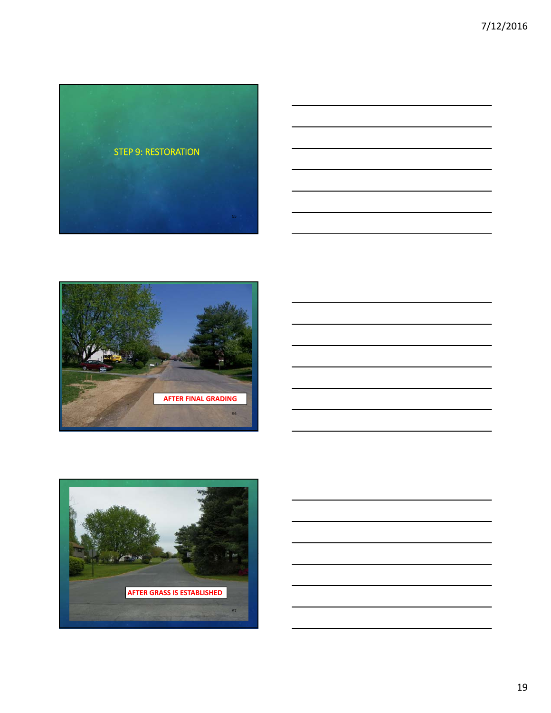



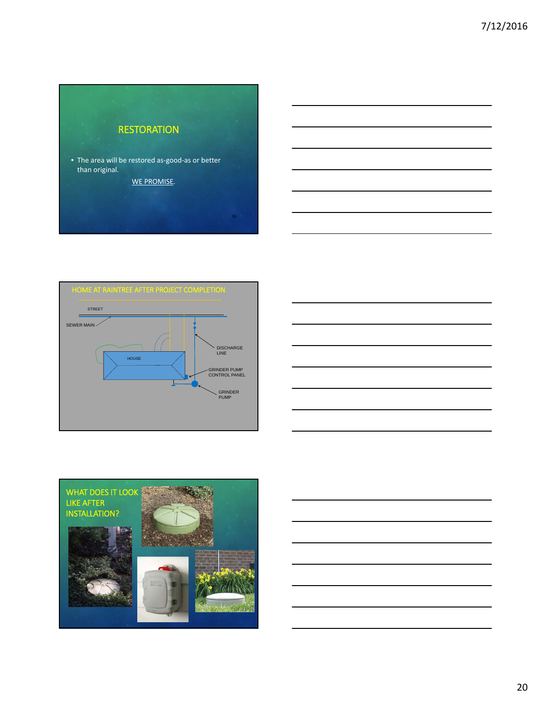





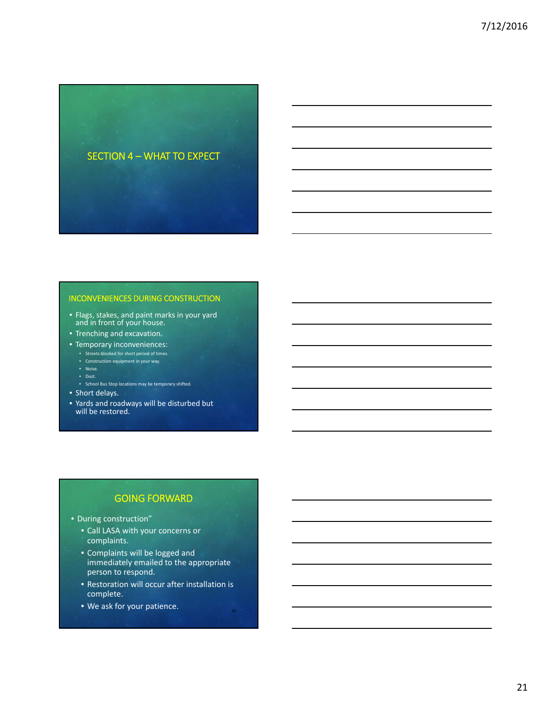

### INCONVENIENCES DURING CONSTRUCTION

- Flags, stakes, and paint marks in your yard and in front of your house.
- Trenching and excavation.
- Temporary inconveniences:
	- Streets blocked for short period of times.
	- Construction equipment in your way. • Noise.
	-
	- School Bus Stop locations may be temporary shifted.
- Short delays.
- Yards and roadways will be disturbed but will be restored.

### GOING FORWARD

- During construction"
	- Call LASA with your concerns or complaints.
	- Complaints will be logged and immediately emailed to the appropriate person to respond.
	- Restoration will occur after installation is complete.
	- We ask for your patience.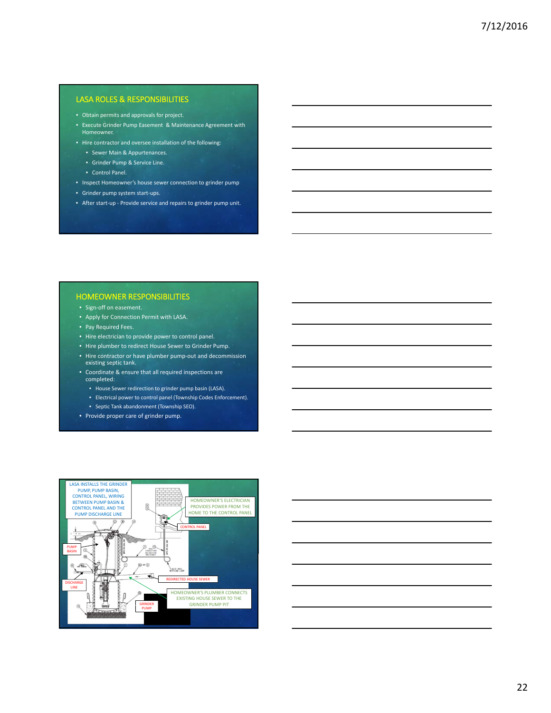### LASA ROLES & RESPONSIBILITIES

- Obtain permits and approvals for project.
- Execute Grinder Pump Easement & Maintenance Agreement with Homeowner.
- Hire contractor and oversee installation of the following:
	- Sewer Main & Appurtenances.
	- Grinder Pump & Service Line.
	- Control Panel.
- Inspect Homeowner's house sewer connection to grinder pump
- Grinder pump system start‐ups.
- After start‐up ‐ Provide service and repairs to grinder pump unit.

#### HOMEOWNER RESPONSIBILITIES

- Sign-off on easement.
- Apply for Connection Permit with LASA.
- Pay Required Fees.
- Hire electrician to provide power to control panel.
- Hire plumber to redirect House Sewer to Grinder Pump.
- Hire contractor or have plumber pump‐out and decommission existing septic tank.
- Coordinate & ensure that all required inspections are completed:
	- House Sewer redirection to grinder pump basin (LASA).
	- Electrical power to control panel (Township Codes Enforcement).
	- Septic Tank abandonment (Township SEO).
- Provide proper care of grinder pump.



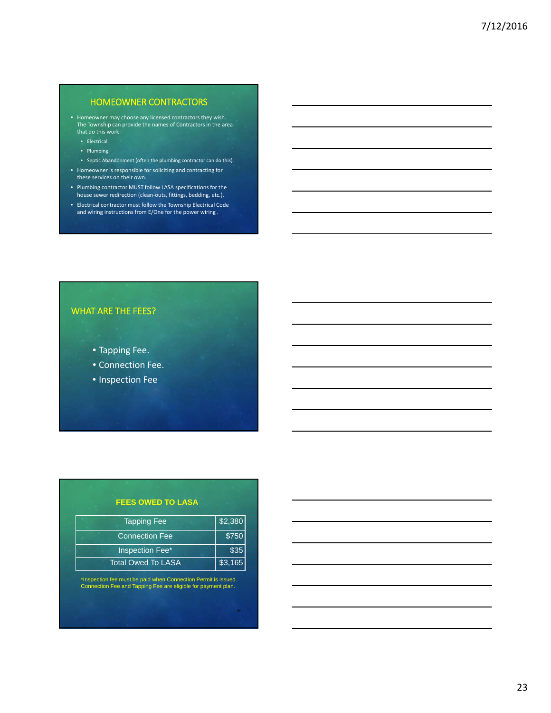### HOMEOWNER CONTRACTORS

- Homeowner may choose any licensed contractors they wish. The Township can provide the names of Contractors in the area that do this work:
	- Electrical.
	- Plumbing.
- Septic Abandonment (often the plumbing contractor can do this).
- Homeowner is responsible for soliciting and contracting for these services on their own.
- Plumbing contractor MUST follow LASA specifications for the house sewer redirection (clean‐outs, fittings, bedding, etc.).
- Electrical contractor must follow the Township Electrical Code and wiring instructions from E/One for the power wiring .

### WHAT ARE THE FEES?

- Tapping Fee.
- Connection Fee.
- Inspection Fee

| <b>FEES OWED TO LASA</b>  |                       |
|---------------------------|-----------------------|
| <b>Tapping Fee</b>        | \$2,380               |
| <b>Connection Fee</b>     | \$750                 |
| Inspection Fee*           | \$35                  |
| <b>Total Owed To LASA</b> | $\frac{1}{1}$ \$3,165 |

\*Inspection fee must be paid when Connection Permit is issued. Connection Fee and Tapping Fee are eligible for payment plan.

69

23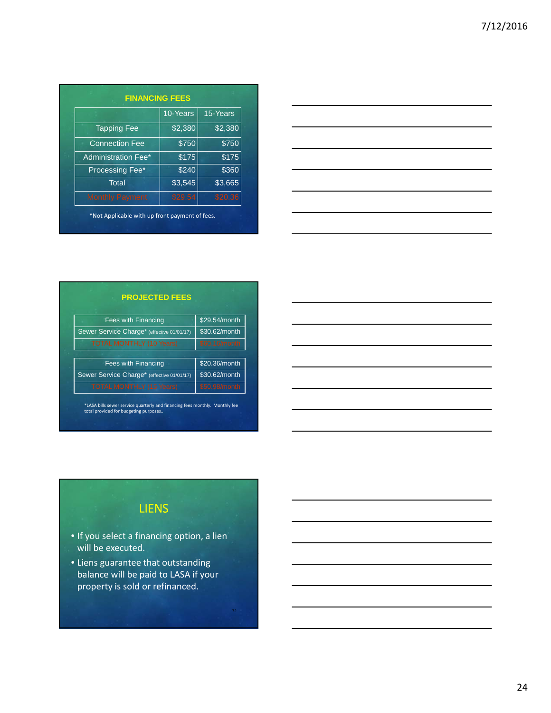| <b>FINANCING FEES</b>      |          |          |
|----------------------------|----------|----------|
|                            | 10-Years | 15-Years |
| <b>Tapping Fee</b>         | \$2,380  | \$2,380  |
| <b>Connection Fee</b>      | \$750    | \$750    |
| <b>Administration Fee*</b> | \$175    | \$175    |
| Processing Fee*            | \$240    | \$360    |
| Total                      | \$3,545  | \$3,665  |
| <b>Monthly Payment</b>     | \$29.54  | \$20.36  |

\*Not Applicable with up front payment of fees.



| <b>PROJECTED FEES</b>                      |               |  |  |
|--------------------------------------------|---------------|--|--|
| Fees with Financing                        | \$29.54/month |  |  |
| Sewer Service Charge* (effective 01/01/17) | \$30.62/month |  |  |
| <b>TOTAL MONTHLY (10 Years)</b>            | \$60.16/month |  |  |
|                                            |               |  |  |
| Fees with Financing                        | \$20.36/month |  |  |
| Sewer Service Charge* (effective 01/01/17) | \$30.62/month |  |  |
| <b>TOTAL MONTHLY (15 Years)</b>            | \$50.98/month |  |  |

\*LASA bills sewer service quarterly and financing fees monthly. Monthly fee total provided for budgeting purposes..

# LIENS

- If you select a financing option, a lien will be executed.
- Liens guarantee that outstanding balance will be paid to LASA if your property is sold or refinanced.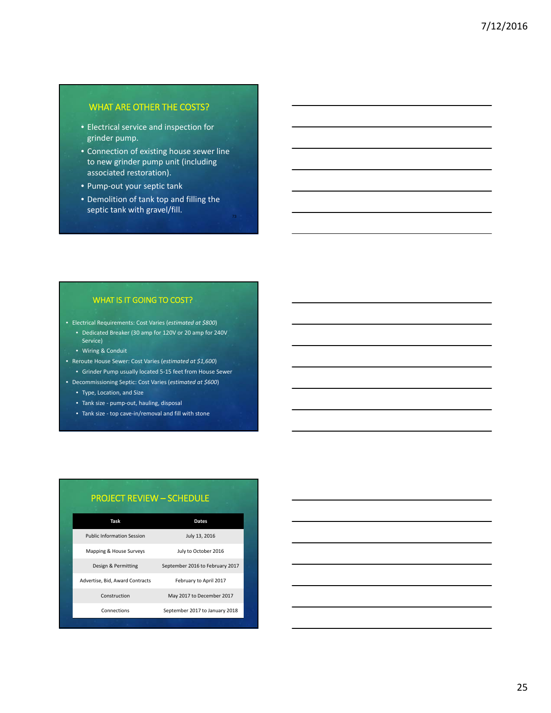### WHAT ARE OTHER THE COSTS?

- Electrical service and inspection for grinder pump.
- Connection of existing house sewer line to new grinder pump unit (including associated restoration).
- Pump‐out your septic tank
- Demolition of tank top and filling the septic tank with gravel/fill.

### WHAT IS IT GOING TO COST?

- Electrical Requirements: Cost Varies (*estimated at \$800*)
	- Dedicated Breaker (30 amp for 120V or 20 amp for 240V Service)
	- Wiring & Conduit
- Reroute House Sewer: Cost Varies (*estimated at \$1,600*)
	- Grinder Pump usually located 5‐15 feet from House Sewer
- Decommissioning Septic: Cost Varies (*estimated at \$600*)
	- Type, Location, and Size
	- Tank size ‐ pump‐out, hauling, disposal
	- Tank size ‐ top cave‐in/removal and fill with stone

### PROJECT REVIEW – SCHEDULE

| Task                              | Dates                           |
|-----------------------------------|---------------------------------|
| <b>Public Information Session</b> | July 13, 2016                   |
| Mapping & House Surveys           | July to October 2016            |
| Design & Permitting               | September 2016 to February 2017 |
| Advertise, Bid, Award Contracts   | February to April 2017          |
| Construction                      | May 2017 to December 2017       |
| Connections                       | September 2017 to January 2018  |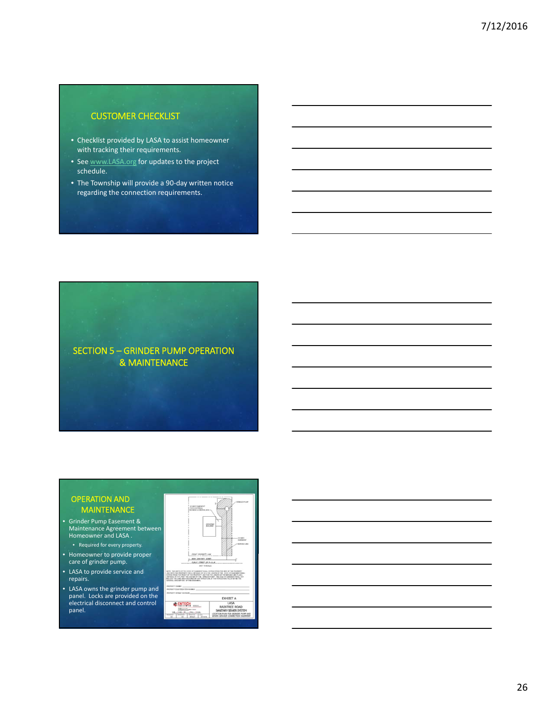### CUSTOMER CHECKLIST

- Checklist provided by LASA to assist homeowner with tracking their requirements.
- See www.LASA.org for updates to the project schedule.
- The Township will provide a 90‐day written notice regarding the connection requirements.

SECTION 5 – GRINDER PUMP OPERATION & MAINTENANCE

### OPERATION AND MAINTENANCE

- Grinder Pump Easement & Maintenance Agreement between Homeowner and LASA .
- Required for every property.
- Homeowner to provide proper care of grinder pump.
- LASA to provide service and repairs.
- LASA owns the grinder pump and panel. Locks are provided on the electrical disconnect and control panel.

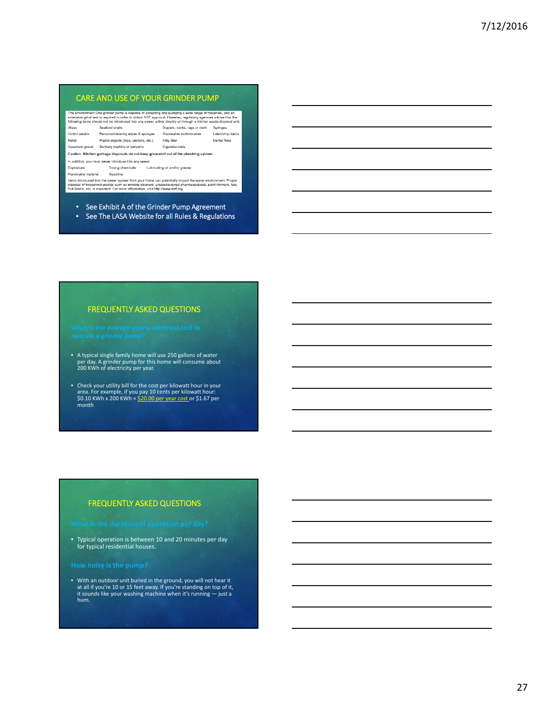### CARE AND USE OF YOUR GRINDER PUMP

| The Environment One grinder pump is capable of accepting and pumping a wide range of materials, and an<br>extensive grind test is required in order to obtain NSF approval. However, regulatory agencies advise that the<br>following items should not be introduced into any sewer, either directly or through a kitchen waste disposal unit: |                                        |                                |                   |  |
|------------------------------------------------------------------------------------------------------------------------------------------------------------------------------------------------------------------------------------------------------------------------------------------------------------------------------------------------|----------------------------------------|--------------------------------|-------------------|--|
| Glass                                                                                                                                                                                                                                                                                                                                          | Seafood shells                         | Diapers, socks, rags or cloth  | <b>Syringes</b>   |  |
| Cotton swabs                                                                                                                                                                                                                                                                                                                                   | Personal/cleaning wipes & sponges      | <b>Disposable toothbrushes</b> | Latex/vinyl items |  |
| Metal                                                                                                                                                                                                                                                                                                                                          | Plastic objects (toys, utensils, etc.) | <b>Kitty litter</b>            | Dental floss      |  |
| Aquarium gravel                                                                                                                                                                                                                                                                                                                                | Sanitary napkins or tampons            | <b>Cigarette butts</b>         |                   |  |
| Caution: Kitchen garbage disposals do not keep grease/oil out of the plumbing system                                                                                                                                                                                                                                                           |                                        |                                |                   |  |
| In addition, you must never introduce into any sewer:                                                                                                                                                                                                                                                                                          |                                        |                                |                   |  |
| <b>Explosives</b>                                                                                                                                                                                                                                                                                                                              | <b>Strong chemicals</b>                | Lubricating oil and/or grease  |                   |  |
| <b>Elammable material</b>                                                                                                                                                                                                                                                                                                                      | Gasoline                               |                                |                   |  |
| Items introduced into the sewer system from your home can potentially impact the water environment. Proper<br>disposal of household wastes such as window cleaners, unused/expired pharmaceuticals, paint thinners, fats,<br>fruit labels, etc. is important. For more information, visit http://www.wef.org.                                  |                                        |                                |                   |  |
|                                                                                                                                                                                                                                                                                                                                                |                                        |                                |                   |  |

- See Exhibit A of the Grinder Pump Agreement
- See The LASA Website for all Rules & Regulations

### FREQUENTLY ASKED QUESTIONS

- A typical single family home will use 250 gallons of water per day. A grinder pump for this home will consume about 200 KWh of electricity per year.
- Check your utility bill for the cost per kilowatt hour in your<br>area. For example, if you pay 10 cents per kilowatt hour:<br>\$0.10 KWh x 200 KWh = <u>\$20.00 per year cost </u>or \$1.67 per month

### FREQUENTLY ASKED QUESTIONS

• Typical operation is between 10 and 20 minutes per day for typical residential houses.

• With an outdoor unit buried in the ground, you will not hear it at all if you're 10 or 15 feet away. If you're standing on top of it, it sounds like your washing machine when it's running — just a hum.